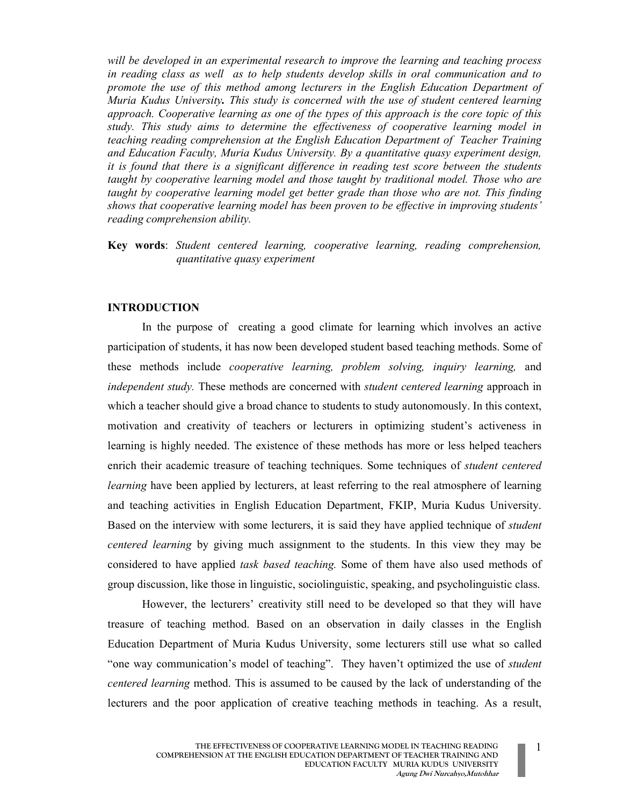will be developed in an experimental research to improve the learning and teaching process in reading class as well as to help students develop skills in oral communication and to promote the use of this method among lecturers in the English Education Department of Muria Kudus University. This study is concerned with the use of student centered learning approach. Cooperative learning as one of the types of this approach is the core topic of this study. This study aims to determine the effectiveness of cooperative learning model in teaching reading comprehension at the English Education Department of Teacher Training and Education Faculty, Muria Kudus University. By a quantitative quasy experiment design, it is found that there is a significant difference in reading test score between the students taught by cooperative learning model and those taught by traditional model. Those who are taught by cooperative learning model get better grade than those who are not. This finding shows that cooperative learning model has been proven to be effective in improving students' reading comprehension ability.

Key words: Student centered learning, cooperative learning, reading comprehension, quantitative quasy experiment

## INTRODUCTION

In the purpose of creating a good climate for learning which involves an active participation of students, it has now been developed student based teaching methods. Some of these methods include cooperative learning, problem solving, inquiry learning, and independent study. These methods are concerned with student centered learning approach in which a teacher should give a broad chance to students to study autonomously. In this context, motivation and creativity of teachers or lecturers in optimizing student's activeness in learning is highly needed. The existence of these methods has more or less helped teachers enrich their academic treasure of teaching techniques. Some techniques of *student centered learning* have been applied by lecturers, at least referring to the real atmosphere of learning and teaching activities in English Education Department, FKIP, Muria Kudus University. Based on the interview with some lecturers, it is said they have applied technique of *student* centered learning by giving much assignment to the students. In this view they may be considered to have applied task based teaching. Some of them have also used methods of group discussion, like those in linguistic, sociolinguistic, speaking, and psycholinguistic class.

However, the lecturers' creativity still need to be developed so that they will have treasure of teaching method. Based on an observation in daily classes in the English Education Department of Muria Kudus University, some lecturers still use what so called "one way communication's model of teaching". They haven't optimized the use of *student* centered learning method. This is assumed to be caused by the lack of understanding of the lecturers and the poor application of creative teaching methods in teaching. As a result,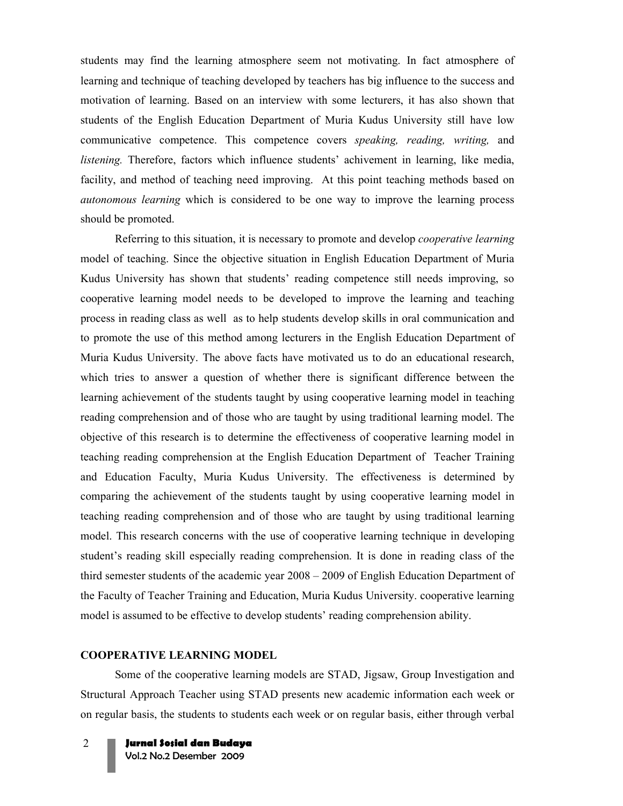students may find the learning atmosphere seem not motivating. In fact atmosphere of learning and technique of teaching developed by teachers has big influence to the success and motivation of learning. Based on an interview with some lecturers, it has also shown that students of the English Education Department of Muria Kudus University still have low communicative competence. This competence covers speaking, reading, writing, and listening. Therefore, factors which influence students' achivement in learning, like media, facility, and method of teaching need improving. At this point teaching methods based on autonomous learning which is considered to be one way to improve the learning process should be promoted.

Referring to this situation, it is necessary to promote and develop *cooperative learning* model of teaching. Since the objective situation in English Education Department of Muria Kudus University has shown that students' reading competence still needs improving, so cooperative learning model needs to be developed to improve the learning and teaching process in reading class as well as to help students develop skills in oral communication and to promote the use of this method among lecturers in the English Education Department of Muria Kudus University. The above facts have motivated us to do an educational research, which tries to answer a question of whether there is significant difference between the learning achievement of the students taught by using cooperative learning model in teaching reading comprehension and of those who are taught by using traditional learning model. The objective of this research is to determine the effectiveness of cooperative learning model in teaching reading comprehension at the English Education Department of Teacher Training and Education Faculty, Muria Kudus University. The effectiveness is determined by comparing the achievement of the students taught by using cooperative learning model in teaching reading comprehension and of those who are taught by using traditional learning model. This research concerns with the use of cooperative learning technique in developing student's reading skill especially reading comprehension. It is done in reading class of the third semester students of the academic year 2008 – 2009 of English Education Department of the Faculty of Teacher Training and Education, Muria Kudus University. cooperative learning model is assumed to be effective to develop students' reading comprehension ability.

## COOPERATIVE LEARNING MODEL

Some of the cooperative learning models are STAD, Jigsaw, Group Investigation and Structural Approach Teacher using STAD presents new academic information each week or on regular basis, the students to students each week or on regular basis, either through verbal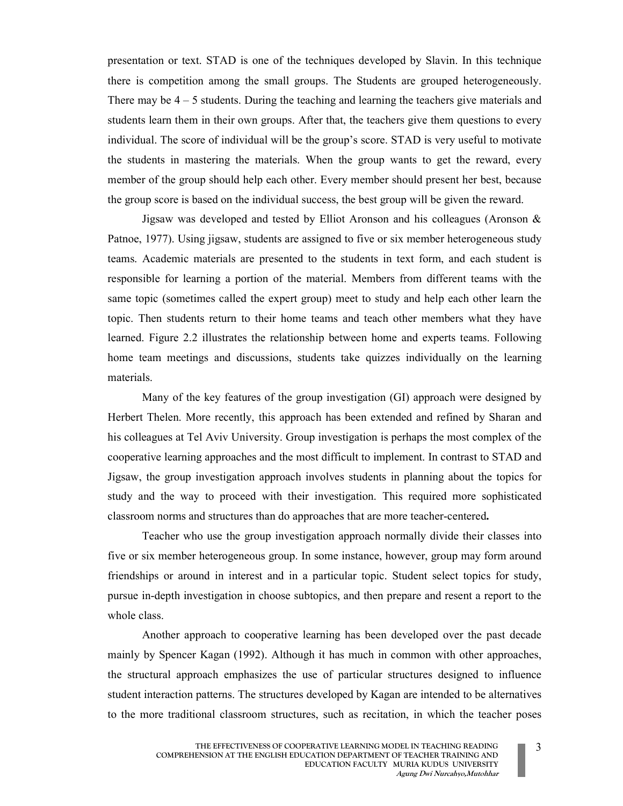presentation or text. STAD is one of the techniques developed by Slavin. In this technique there is competition among the small groups. The Students are grouped heterogeneously. There may be  $4 - 5$  students. During the teaching and learning the teachers give materials and students learn them in their own groups. After that, the teachers give them questions to every individual. The score of individual will be the group's score. STAD is very useful to motivate the students in mastering the materials. When the group wants to get the reward, every member of the group should help each other. Every member should present her best, because the group score is based on the individual success, the best group will be given the reward.

Jigsaw was developed and tested by Elliot Aronson and his colleagues (Aronson  $\&$ Patnoe, 1977). Using jigsaw, students are assigned to five or six member heterogeneous study teams. Academic materials are presented to the students in text form, and each student is responsible for learning a portion of the material. Members from different teams with the same topic (sometimes called the expert group) meet to study and help each other learn the topic. Then students return to their home teams and teach other members what they have learned. Figure 2.2 illustrates the relationship between home and experts teams. Following home team meetings and discussions, students take quizzes individually on the learning materials.

Many of the key features of the group investigation (GI) approach were designed by Herbert Thelen. More recently, this approach has been extended and refined by Sharan and his colleagues at Tel Aviv University. Group investigation is perhaps the most complex of the cooperative learning approaches and the most difficult to implement. In contrast to STAD and Jigsaw, the group investigation approach involves students in planning about the topics for study and the way to proceed with their investigation. This required more sophisticated classroom norms and structures than do approaches that are more teacher-centered.

Teacher who use the group investigation approach normally divide their classes into five or six member heterogeneous group. In some instance, however, group may form around friendships or around in interest and in a particular topic. Student select topics for study, pursue in-depth investigation in choose subtopics, and then prepare and resent a report to the whole class.

Another approach to cooperative learning has been developed over the past decade mainly by Spencer Kagan (1992). Although it has much in common with other approaches, the structural approach emphasizes the use of particular structures designed to influence student interaction patterns. The structures developed by Kagan are intended to be alternatives to the more traditional classroom structures, such as recitation, in which the teacher poses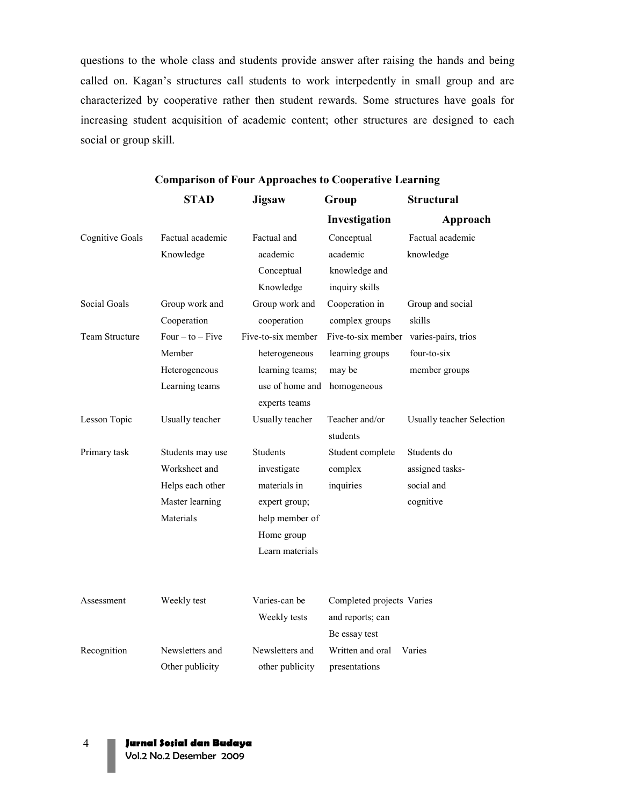questions to the whole class and students provide answer after raising the hands and being called on. Kagan's structures call students to work interpedently in small group and are characterized by cooperative rather then student rewards. Some structures have goals for increasing student acquisition of academic content; other structures are designed to each social or group skill.

|                        | <b>STAD</b>      | <b>Jigsaw</b>      | Group                     | <b>Structural</b>         |
|------------------------|------------------|--------------------|---------------------------|---------------------------|
|                        |                  |                    | Investigation             | Approach                  |
| <b>Cognitive Goals</b> | Factual academic | Factual and        | Conceptual                | Factual academic          |
|                        | Knowledge        | academic           | academic                  | knowledge                 |
|                        |                  | Conceptual         | knowledge and             |                           |
|                        |                  | Knowledge          | inquiry skills            |                           |
| <b>Social Goals</b>    | Group work and   | Group work and     | Cooperation in            | Group and social          |
|                        | Cooperation      | cooperation        | complex groups            | skills                    |
| Team Structure         | $Four-to-Five$   | Five-to-six member | Five-to-six member        | varies-pairs, trios       |
|                        | Member           | heterogeneous      | learning groups           | four-to-six               |
|                        | Heterogeneous    | learning teams;    | may be                    | member groups             |
|                        | Learning teams   | use of home and    | homogeneous               |                           |
|                        |                  | experts teams      |                           |                           |
| Lesson Topic           | Usually teacher  | Usually teacher    | Teacher and/or            | Usually teacher Selection |
|                        |                  |                    | students                  |                           |
| Primary task           | Students may use | Students           | Student complete          | Students do               |
|                        | Worksheet and    | investigate        | complex                   | assigned tasks-           |
|                        | Helps each other | materials in       | inquiries                 | social and                |
|                        | Master learning  | expert group;      |                           | cognitive                 |
|                        | Materials        | help member of     |                           |                           |
|                        |                  | Home group         |                           |                           |
|                        |                  | Learn materials    |                           |                           |
|                        |                  |                    |                           |                           |
| Assessment             | Weekly test      | Varies-can be      | Completed projects Varies |                           |
|                        |                  | Weekly tests       | and reports; can          |                           |
|                        |                  |                    | Be essay test             |                           |
| Recognition            | Newsletters and  | Newsletters and    | Written and oral          | Varies                    |
|                        |                  |                    |                           |                           |
|                        | Other publicity  | other publicity    | presentations             |                           |

## Comparison of Four Approaches to Cooperative Learning

4 Jurnal Sosial dan Budaya

Vol.2 No.2 Desember 2009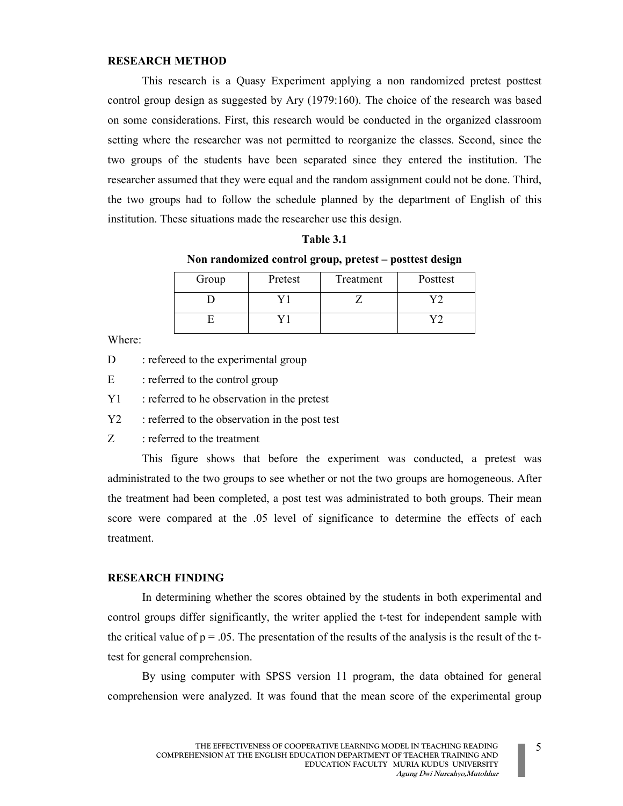## RESEARCH METHOD

This research is a Quasy Experiment applying a non randomized pretest posttest control group design as suggested by Ary (1979:160). The choice of the research was based on some considerations. First, this research would be conducted in the organized classroom setting where the researcher was not permitted to reorganize the classes. Second, since the two groups of the students have been separated since they entered the institution. The researcher assumed that they were equal and the random assignment could not be done. Third, the two groups had to follow the schedule planned by the department of English of this institution. These situations made the researcher use this design.

Table 3.1 Non randomized control group, pretest – posttest design

| Group | Pretest | Treatment | Posttest |
|-------|---------|-----------|----------|
|       |         |           |          |
|       |         |           |          |

Where:

- D : refereed to the experimental group
- E : referred to the control group
- Y1 : referred to he observation in the pretest
- Y2 : referred to the observation in the post test
- Z : referred to the treatment

This figure shows that before the experiment was conducted, a pretest was administrated to the two groups to see whether or not the two groups are homogeneous. After the treatment had been completed, a post test was administrated to both groups. Their mean score were compared at the .05 level of significance to determine the effects of each treatment.

## RESEARCH FINDING

In determining whether the scores obtained by the students in both experimental and control groups differ significantly, the writer applied the t-test for independent sample with the critical value of  $p = 0.05$ . The presentation of the results of the analysis is the result of the ttest for general comprehension.

By using computer with SPSS version 11 program, the data obtained for general comprehension were analyzed. It was found that the mean score of the experimental group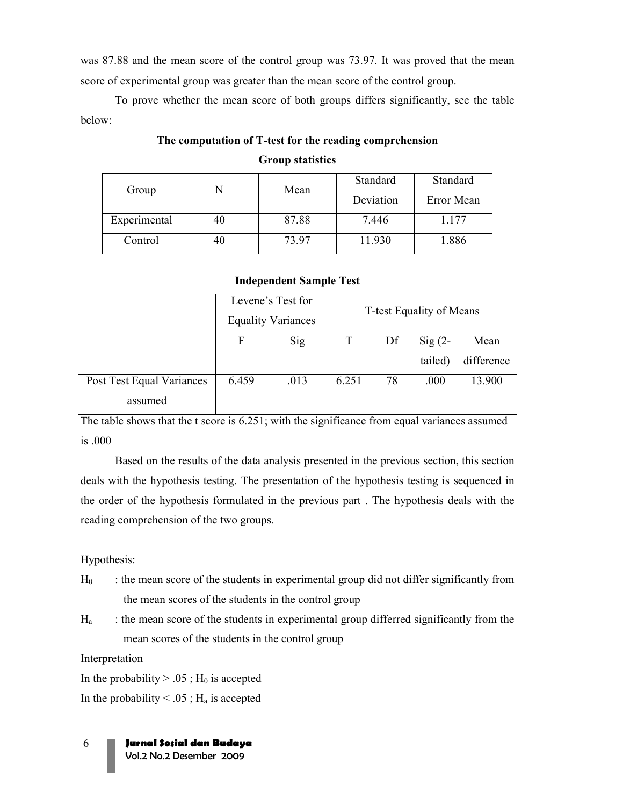was 87.88 and the mean score of the control group was 73.97. It was proved that the mean score of experimental group was greater than the mean score of the control group.

To prove whether the mean score of both groups differs significantly, see the table below:

# The computation of T-test for the reading comprehension Group statistics

|              |    |       | Standard  | Standard   |  |
|--------------|----|-------|-----------|------------|--|
| Group        |    | Mean  | Deviation | Error Mean |  |
| Experimental | 40 | 87.88 | 7.446     | 1.177      |  |
| Control      | 40 | 73.97 | 11.930    | .886       |  |

# Independent Sample Test

|                           | Levene's Test for<br><b>Equality Variances</b> |      | T-test Equality of Means |    |                    |            |
|---------------------------|------------------------------------------------|------|--------------------------|----|--------------------|------------|
|                           |                                                |      |                          |    |                    |            |
|                           | F                                              | Sig  |                          | Df | $\mathrm{Sig}(2-)$ | Mean       |
|                           |                                                |      |                          |    | tailed)            | difference |
| Post Test Equal Variances | 6.459                                          | .013 | 6.251                    | 78 | .000               | 13.900     |
| assumed                   |                                                |      |                          |    |                    |            |

The table shows that the t score is 6.251; with the significance from equal variances assumed is .000

Based on the results of the data analysis presented in the previous section, this section deals with the hypothesis testing. The presentation of the hypothesis testing is sequenced in the order of the hypothesis formulated in the previous part . The hypothesis deals with the reading comprehension of the two groups.

# Hypothesis:

- $H_0$  : the mean score of the students in experimental group did not differ significantly from the mean scores of the students in the control group
- $H<sub>a</sub>$  : the mean score of the students in experimental group differred significantly from the mean scores of the students in the control group

# Interpretation

In the probability  $> .05$ ; H<sub>0</sub> is accepted

In the probability  $< .05$ ; H<sub>a</sub> is accepted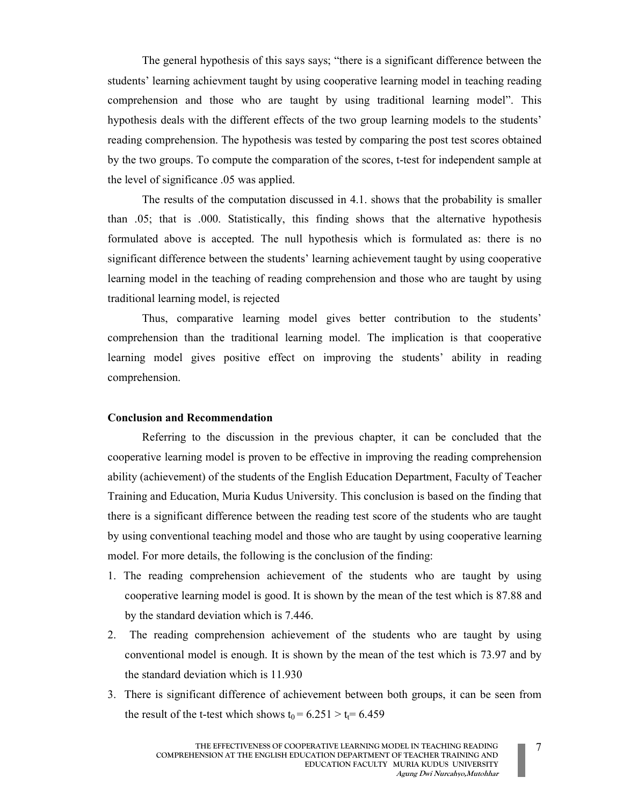The general hypothesis of this says says; "there is a significant difference between the students' learning achievment taught by using cooperative learning model in teaching reading comprehension and those who are taught by using traditional learning model". This hypothesis deals with the different effects of the two group learning models to the students' reading comprehension. The hypothesis was tested by comparing the post test scores obtained by the two groups. To compute the comparation of the scores, t-test for independent sample at the level of significance .05 was applied.

The results of the computation discussed in 4.1. shows that the probability is smaller than .05; that is .000. Statistically, this finding shows that the alternative hypothesis formulated above is accepted. The null hypothesis which is formulated as: there is no significant difference between the students' learning achievement taught by using cooperative learning model in the teaching of reading comprehension and those who are taught by using traditional learning model, is rejected

Thus, comparative learning model gives better contribution to the students' comprehension than the traditional learning model. The implication is that cooperative learning model gives positive effect on improving the students' ability in reading comprehension.

#### Conclusion and Recommendation

Referring to the discussion in the previous chapter, it can be concluded that the cooperative learning model is proven to be effective in improving the reading comprehension ability (achievement) of the students of the English Education Department, Faculty of Teacher Training and Education, Muria Kudus University. This conclusion is based on the finding that there is a significant difference between the reading test score of the students who are taught by using conventional teaching model and those who are taught by using cooperative learning model. For more details, the following is the conclusion of the finding:

- 1. The reading comprehension achievement of the students who are taught by using cooperative learning model is good. It is shown by the mean of the test which is 87.88 and by the standard deviation which is 7.446.
- 2. The reading comprehension achievement of the students who are taught by using conventional model is enough. It is shown by the mean of the test which is 73.97 and by the standard deviation which is 11.930
- 3. There is significant difference of achievement between both groups, it can be seen from the result of the t-test which shows  $t_0 = 6.251 > t_f = 6.459$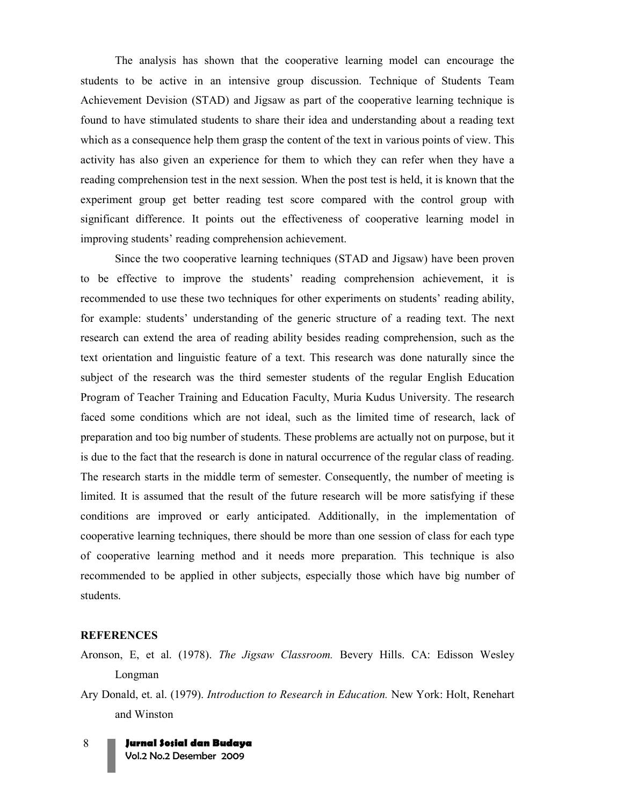The analysis has shown that the cooperative learning model can encourage the students to be active in an intensive group discussion. Technique of Students Team Achievement Devision (STAD) and Jigsaw as part of the cooperative learning technique is found to have stimulated students to share their idea and understanding about a reading text which as a consequence help them grasp the content of the text in various points of view. This activity has also given an experience for them to which they can refer when they have a reading comprehension test in the next session. When the post test is held, it is known that the experiment group get better reading test score compared with the control group with significant difference. It points out the effectiveness of cooperative learning model in improving students' reading comprehension achievement.

 Since the two cooperative learning techniques (STAD and Jigsaw) have been proven to be effective to improve the students' reading comprehension achievement, it is recommended to use these two techniques for other experiments on students' reading ability, for example: students' understanding of the generic structure of a reading text. The next research can extend the area of reading ability besides reading comprehension, such as the text orientation and linguistic feature of a text. This research was done naturally since the subject of the research was the third semester students of the regular English Education Program of Teacher Training and Education Faculty, Muria Kudus University. The research faced some conditions which are not ideal, such as the limited time of research, lack of preparation and too big number of students. These problems are actually not on purpose, but it is due to the fact that the research is done in natural occurrence of the regular class of reading. The research starts in the middle term of semester. Consequently, the number of meeting is limited. It is assumed that the result of the future research will be more satisfying if these conditions are improved or early anticipated. Additionally, in the implementation of cooperative learning techniques, there should be more than one session of class for each type of cooperative learning method and it needs more preparation. This technique is also recommended to be applied in other subjects, especially those which have big number of students.

#### **REFERENCES**

- Aronson, E, et al. (1978). The Jigsaw Classroom. Bevery Hills. CA: Edisson Wesley Longman
- Ary Donald, et. al. (1979). Introduction to Research in Education. New York: Holt, Renehart and Winston